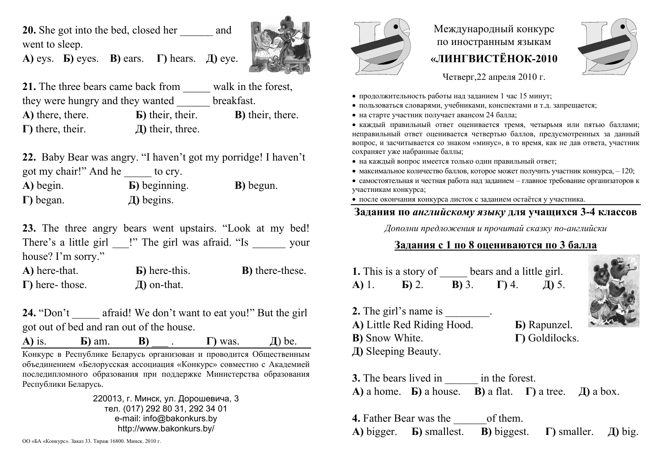**20.** She got into the bed, closed her \_\_\_\_\_\_ and went to sleep.

**А)** eys. **Б)** eyes. **В)** ears. **Г)** hears. **Д)** eye.



21. The three bears came back from walk in the forest, they were hungry and they wanted \_\_\_\_\_\_ breakfast. **А)** there, there. **Б)** their, their. **В)** their, there. **Г)** there, their. **Д)** their, three.

**22.** Baby Bear was angry. "I haven't got my porridge! I haven't got my chair!" And he to cry.

**А)** begin. **Б)** beginning. **В)** begun. **Г)** began. **Д)** begins.

**23.** The three angry bears went upstairs. "Look at my bed! There's a little girl **c** i" The girl was afraid. "Is vour house? I'm sorry."

**А)** here-that. **Б)** here-this. **В)** there-these. **Г)** here- those. **Д)** on-that.

**24.** "Don't afraid! We don't want to eat you!" But the girl got out of bed and ran out of the house.

**A**) is.  $\bf{B}$  am. **B**)  $\bf{B}$  . **Γ**) was.  $\bf{\bf{A}}$  be.

Конкурс <sup>в</sup> Республике Беларусь организован <sup>и</sup> проводится Общественным объединением «Белорусская ассоциация «Конкурс» совместно <sup>с</sup> Академией последипломного образования при поддержке Министерства образования Республики Беларусь.

> 220013, <sup>г</sup>. Минск, ул. Дорошевича, 3 тел. (017) 292 80 31, 292 34 01 e-mail: info@bakonkurs.by http://www.bakonkurs.by/



Международный конкурс по иностранным языкам **«ЛИНГВИСТЁНОК-2010** 



Четверг,22 апреля 2010 <sup>г</sup>.

- продолжительность работы над заданием 1 час 15 минут;
- пользоваться словарями, учебниками, конспектами <sup>и</sup> <sup>т</sup>.д. запрещается;
- на старте участник получает авансом 24 балла;

 каждый правильный ответ оценивается тремя, четырьмя или пятью баллами; неправильный ответ оценивается четвертью баллов, предусмотренных за данный вопрос, <sup>и</sup> засчитывается со знаком «минус», <sup>в</sup> то время, как не дав ответа, участник сохраняет уже набранные баллы;

- на каждый вопрос имеется только один правильный ответ;
- максимальное количество баллов, которое может получить участник конкурса,  $-120$ ;
- самостоятельная и честная работа над заданием главное требование организаторов <sup>к</sup> участникам конкурса;
- после окончания конкурса листок <sup>с</sup> заданием остаётся у участника.

## **Задания по** *английскому языку* **для учащихся 3-4 классов**

*Дополни предложения <sup>и</sup> прочитай сказку по-английски*

## **Задания <sup>с</sup> 1 по 8 оцениваются по 3 балла**

|               | 1. This is a story of |         | bears and a little girl. |       |
|---------------|-----------------------|---------|--------------------------|-------|
| <b>A</b> ) 1. | $\mathbf{E}$ ) 2.     | $B)$ 3. | $\Gamma$ 4.              | Д) 5. |



- **2.** The girl's name is \_\_\_\_\_\_\_.
- **А)** Little Red Riding Hood. **Б)** Rapunzel.
- **В)** Snow White. **Г)** Goldilocks.
- **Д)** Sleeping Beauty.

**3.** The bears lived in  $\qquad$  in the forest. **А)** a home. **Б)** a house. **В)** a flat. **Г)** a tree. **Д)** a box.

**4.** Father Bear was the of them. **А)** bigger. **Б)** smallest. **В)** biggest. **Г)** smaller. **Д)** big.